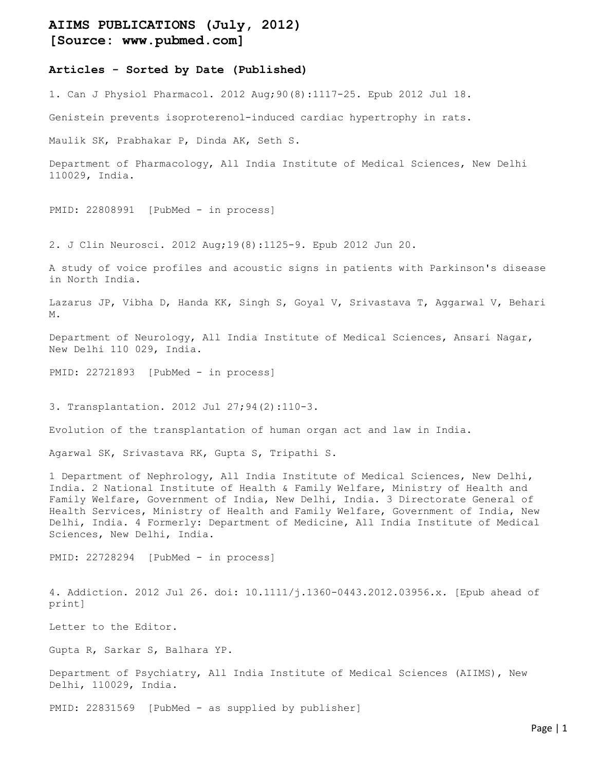## AIIMS PUBLICATIONS (July, 2012) [Source: www.pubmed.com]

## Articles - Sorted by Date (Published)

1. Can J Physiol Pharmacol. 2012 Aug;90(8):1117-25. Epub 2012 Jul 18.

Genistein prevents isoproterenol-induced cardiac hypertrophy in rats.

Maulik SK, Prabhakar P, Dinda AK, Seth S.

Department of Pharmacology, All India Institute of Medical Sciences, New Delhi 110029, India.

PMID: 22808991 [PubMed - in process]

2. J Clin Neurosci. 2012 Aug;19(8):1125-9. Epub 2012 Jun 20.

A study of voice profiles and acoustic signs in patients with Parkinson's disease in North India.

Lazarus JP, Vibha D, Handa KK, Singh S, Goyal V, Srivastava T, Aggarwal V, Behari M.

Department of Neurology, All India Institute of Medical Sciences, Ansari Nagar, New Delhi 110 029, India.

PMID: 22721893 [PubMed - in process]

3. Transplantation. 2012 Jul 27;94(2):110-3.

Evolution of the transplantation of human organ act and law in India.

Agarwal SK, Srivastava RK, Gupta S, Tripathi S.

1 Department of Nephrology, All India Institute of Medical Sciences, New Delhi, India. 2 National Institute of Health & Family Welfare, Ministry of Health and Family Welfare, Government of India, New Delhi, India. 3 Directorate General of Health Services, Ministry of Health and Family Welfare, Government of India, New Delhi, India. 4 Formerly: Department of Medicine, All India Institute of Medical Sciences, New Delhi, India.

PMID: 22728294 [PubMed - in process]

4. Addiction. 2012 Jul 26. doi: 10.1111/j.1360-0443.2012.03956.x. [Epub ahead of print]

Letter to the Editor.

Gupta R, Sarkar S, Balhara YP.

Department of Psychiatry, All India Institute of Medical Sciences (AIIMS), New Delhi, 110029, India.

PMID: 22831569 [PubMed - as supplied by publisher]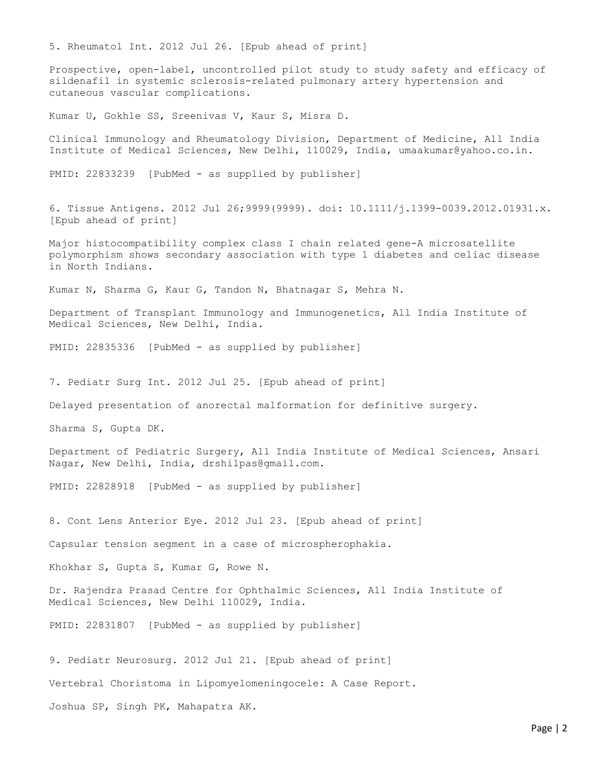5. Rheumatol Int. 2012 Jul 26. [Epub ahead of print]

Prospective, open-label, uncontrolled pilot study to study safety and efficacy of sildenafil in systemic sclerosis-related pulmonary artery hypertension and cutaneous vascular complications.

Kumar U, Gokhle SS, Sreenivas V, Kaur S, Misra D.

Clinical Immunology and Rheumatology Division, Department of Medicine, All India Institute of Medical Sciences, New Delhi, 110029, India, umaakumar@yahoo.co.in.

PMID: 22833239 [PubMed - as supplied by publisher]

6. Tissue Antigens. 2012 Jul 26;9999(9999). doi: 10.1111/j.1399-0039.2012.01931.x. [Epub ahead of print]

Major histocompatibility complex class I chain related gene-A microsatellite polymorphism shows secondary association with type 1 diabetes and celiac disease in North Indians.

Kumar N, Sharma G, Kaur G, Tandon N, Bhatnagar S, Mehra N.

Department of Transplant Immunology and Immunogenetics, All India Institute of Medical Sciences, New Delhi, India.

PMID: 22835336 [PubMed - as supplied by publisher]

7. Pediatr Surg Int. 2012 Jul 25. [Epub ahead of print]

Delayed presentation of anorectal malformation for definitive surgery.

Sharma S, Gupta DK.

Department of Pediatric Surgery, All India Institute of Medical Sciences, Ansari Nagar, New Delhi, India, drshilpas@gmail.com.

PMID: 22828918 [PubMed - as supplied by publisher]

8. Cont Lens Anterior Eye. 2012 Jul 23. [Epub ahead of print]

Capsular tension segment in a case of microspherophakia.

Khokhar S, Gupta S, Kumar G, Rowe N.

Dr. Rajendra Prasad Centre for Ophthalmic Sciences, All India Institute of Medical Sciences, New Delhi 110029, India.

PMID: 22831807 [PubMed - as supplied by publisher]

9. Pediatr Neurosurg. 2012 Jul 21. [Epub ahead of print] Vertebral Choristoma in Lipomyelomeningocele: A Case Report. Joshua SP, Singh PK, Mahapatra AK.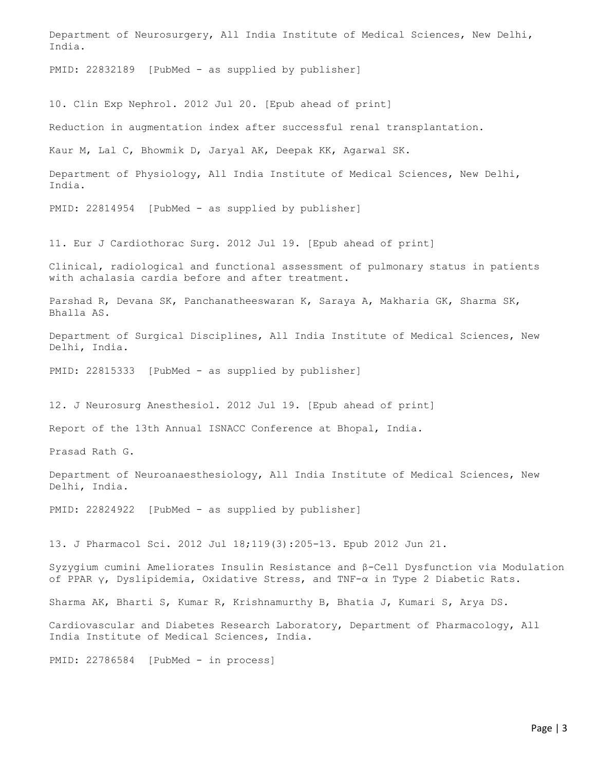Department of Neurosurgery, All India Institute of Medical Sciences, New Delhi, India.

PMID: 22832189 [PubMed - as supplied by publisher]

10. Clin Exp Nephrol. 2012 Jul 20. [Epub ahead of print]

Reduction in augmentation index after successful renal transplantation.

Kaur M, Lal C, Bhowmik D, Jaryal AK, Deepak KK, Agarwal SK.

Department of Physiology, All India Institute of Medical Sciences, New Delhi, India.

PMID: 22814954 [PubMed - as supplied by publisher]

11. Eur J Cardiothorac Surg. 2012 Jul 19. [Epub ahead of print]

Clinical, radiological and functional assessment of pulmonary status in patients with achalasia cardia before and after treatment.

Parshad R, Devana SK, Panchanatheeswaran K, Saraya A, Makharia GK, Sharma SK, Bhalla AS.

Department of Surgical Disciplines, All India Institute of Medical Sciences, New Delhi, India.

PMID: 22815333 [PubMed - as supplied by publisher]

12. J Neurosurg Anesthesiol. 2012 Jul 19. [Epub ahead of print]

Report of the 13th Annual ISNACC Conference at Bhopal, India.

Prasad Rath G.

Department of Neuroanaesthesiology, All India Institute of Medical Sciences, New Delhi, India.

PMID: 22824922 [PubMed - as supplied by publisher]

13. J Pharmacol Sci. 2012 Jul 18;119(3):205-13. Epub 2012 Jun 21.

Syzygium cumini Ameliorates Insulin Resistance and β-Cell Dysfunction via Modulation of PPAR γ, Dyslipidemia, Oxidative Stress, and TNF-α in Type 2 Diabetic Rats.

Sharma AK, Bharti S, Kumar R, Krishnamurthy B, Bhatia J, Kumari S, Arya DS.

Cardiovascular and Diabetes Research Laboratory, Department of Pharmacology, All India Institute of Medical Sciences, India.

PMID: 22786584 [PubMed - in process]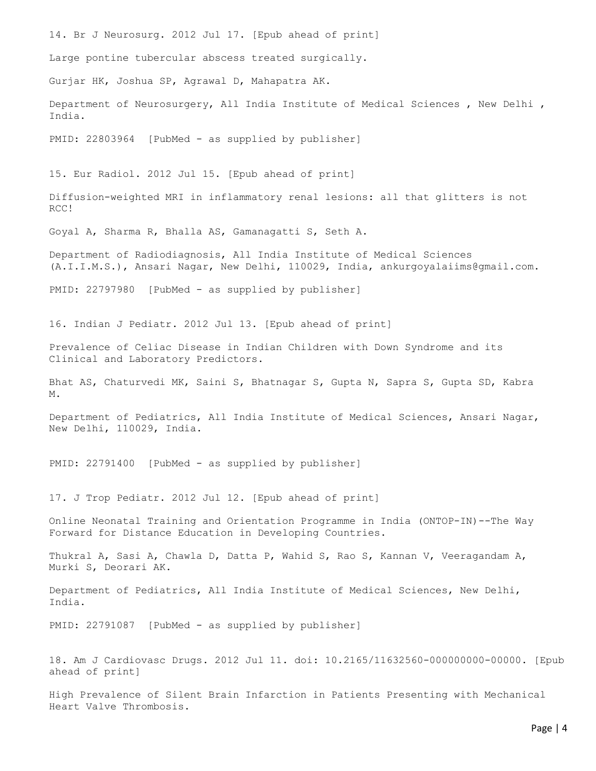14. Br J Neurosurg. 2012 Jul 17. [Epub ahead of print] Large pontine tubercular abscess treated surgically. Gurjar HK, Joshua SP, Agrawal D, Mahapatra AK. Department of Neurosurgery, All India Institute of Medical Sciences , New Delhi , India. PMID: 22803964 [PubMed - as supplied by publisher] 15. Eur Radiol. 2012 Jul 15. [Epub ahead of print] Diffusion-weighted MRI in inflammatory renal lesions: all that glitters is not RCC! Goyal A, Sharma R, Bhalla AS, Gamanagatti S, Seth A. Department of Radiodiagnosis, All India Institute of Medical Sciences (A.I.I.M.S.), Ansari Nagar, New Delhi, 110029, India, ankurgoyalaiims@gmail.com. PMID: 22797980 [PubMed - as supplied by publisher] 16. Indian J Pediatr. 2012 Jul 13. [Epub ahead of print] Prevalence of Celiac Disease in Indian Children with Down Syndrome and its Clinical and Laboratory Predictors. Bhat AS, Chaturvedi MK, Saini S, Bhatnagar S, Gupta N, Sapra S, Gupta SD, Kabra M. Department of Pediatrics, All India Institute of Medical Sciences, Ansari Nagar, New Delhi, 110029, India. PMID: 22791400 [PubMed - as supplied by publisher] 17. J Trop Pediatr. 2012 Jul 12. [Epub ahead of print]

Online Neonatal Training and Orientation Programme in India (ONTOP-IN)--The Way Forward for Distance Education in Developing Countries.

Thukral A, Sasi A, Chawla D, Datta P, Wahid S, Rao S, Kannan V, Veeragandam A, Murki S, Deorari AK.

Department of Pediatrics, All India Institute of Medical Sciences, New Delhi, India.

PMID: 22791087 [PubMed - as supplied by publisher]

18. Am J Cardiovasc Drugs. 2012 Jul 11. doi: 10.2165/11632560-000000000-00000. [Epub ahead of print]

High Prevalence of Silent Brain Infarction in Patients Presenting with Mechanical Heart Valve Thrombosis.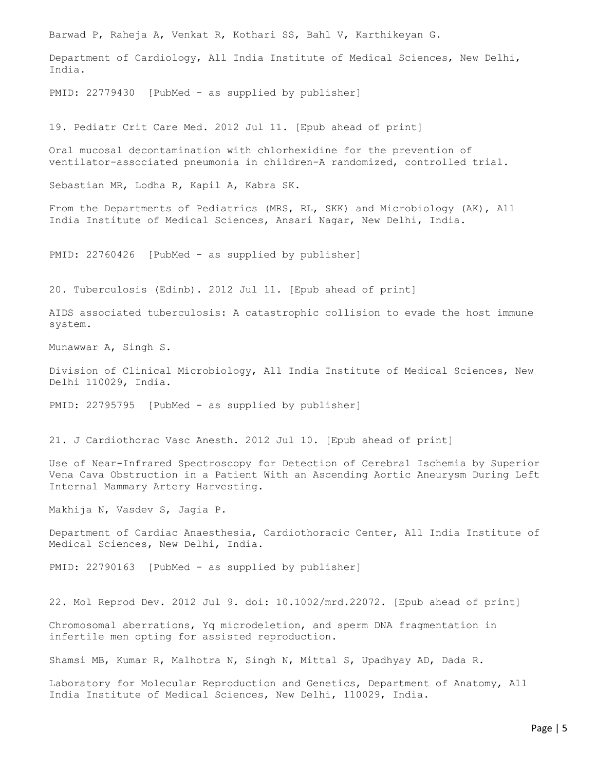Barwad P, Raheja A, Venkat R, Kothari SS, Bahl V, Karthikeyan G. Department of Cardiology, All India Institute of Medical Sciences, New Delhi, India. PMID: 22779430 [PubMed - as supplied by publisher] 19. Pediatr Crit Care Med. 2012 Jul 11. [Epub ahead of print] Oral mucosal decontamination with chlorhexidine for the prevention of ventilator-associated pneumonia in children-A randomized, controlled trial. Sebastian MR, Lodha R, Kapil A, Kabra SK. From the Departments of Pediatrics (MRS, RL, SKK) and Microbiology (AK), All India Institute of Medical Sciences, Ansari Nagar, New Delhi, India. PMID: 22760426 [PubMed - as supplied by publisher] 20. Tuberculosis (Edinb). 2012 Jul 11. [Epub ahead of print] AIDS associated tuberculosis: A catastrophic collision to evade the host immune system. Munawwar A, Singh S. Division of Clinical Microbiology, All India Institute of Medical Sciences, New Delhi 110029, India. PMID: 22795795 [PubMed - as supplied by publisher] 21. J Cardiothorac Vasc Anesth. 2012 Jul 10. [Epub ahead of print] Use of Near-Infrared Spectroscopy for Detection of Cerebral Ischemia by Superior Vena Cava Obstruction in a Patient With an Ascending Aortic Aneurysm During Left Internal Mammary Artery Harvesting. Makhija N, Vasdev S, Jagia P. Department of Cardiac Anaesthesia, Cardiothoracic Center, All India Institute of Medical Sciences, New Delhi, India. PMID: 22790163 [PubMed - as supplied by publisher] 22. Mol Reprod Dev. 2012 Jul 9. doi: 10.1002/mrd.22072. [Epub ahead of print] Chromosomal aberrations, Yq microdeletion, and sperm DNA fragmentation in infertile men opting for assisted reproduction. Shamsi MB, Kumar R, Malhotra N, Singh N, Mittal S, Upadhyay AD, Dada R.

Laboratory for Molecular Reproduction and Genetics, Department of Anatomy, All India Institute of Medical Sciences, New Delhi, 110029, India.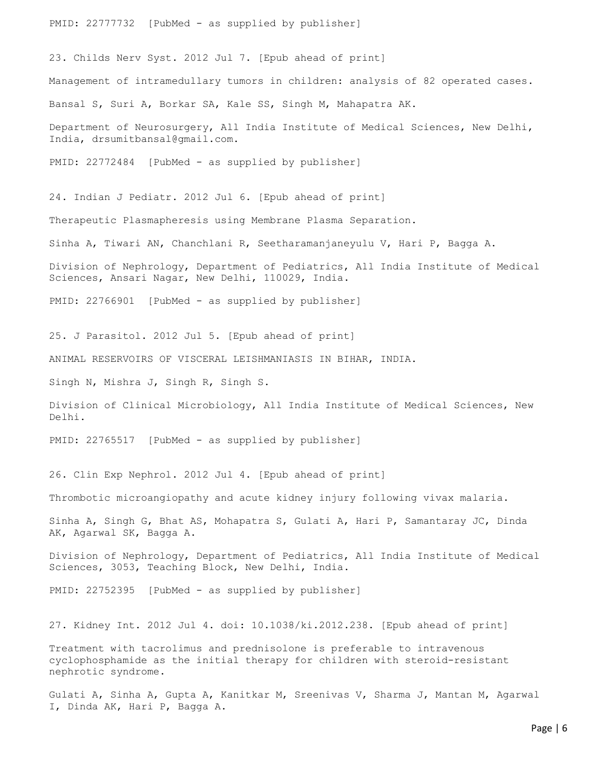PMID: 22777732 [PubMed - as supplied by publisher]

23. Childs Nerv Syst. 2012 Jul 7. [Epub ahead of print] Management of intramedullary tumors in children: analysis of 82 operated cases. Bansal S, Suri A, Borkar SA, Kale SS, Singh M, Mahapatra AK. Department of Neurosurgery, All India Institute of Medical Sciences, New Delhi, India, drsumitbansal@gmail.com. PMID: 22772484 [PubMed - as supplied by publisher]

24. Indian J Pediatr. 2012 Jul 6. [Epub ahead of print] Therapeutic Plasmapheresis using Membrane Plasma Separation. Sinha A, Tiwari AN, Chanchlani R, Seetharamanjaneyulu V, Hari P, Bagga A. Division of Nephrology, Department of Pediatrics, All India Institute of Medical Sciences, Ansari Nagar, New Delhi, 110029, India.

PMID: 22766901 [PubMed - as supplied by publisher]

25. J Parasitol. 2012 Jul 5. [Epub ahead of print]

ANIMAL RESERVOIRS OF VISCERAL LEISHMANIASIS IN BIHAR, INDIA.

Singh N, Mishra J, Singh R, Singh S.

Division of Clinical Microbiology, All India Institute of Medical Sciences, New Delhi.

PMID: 22765517 [PubMed - as supplied by publisher]

26. Clin Exp Nephrol. 2012 Jul 4. [Epub ahead of print]

Thrombotic microangiopathy and acute kidney injury following vivax malaria.

Sinha A, Singh G, Bhat AS, Mohapatra S, Gulati A, Hari P, Samantaray JC, Dinda AK, Agarwal SK, Bagga A.

Division of Nephrology, Department of Pediatrics, All India Institute of Medical Sciences, 3053, Teaching Block, New Delhi, India.

PMID: 22752395 [PubMed - as supplied by publisher]

27. Kidney Int. 2012 Jul 4. doi: 10.1038/ki.2012.238. [Epub ahead of print]

Treatment with tacrolimus and prednisolone is preferable to intravenous cyclophosphamide as the initial therapy for children with steroid-resistant nephrotic syndrome.

Gulati A, Sinha A, Gupta A, Kanitkar M, Sreenivas V, Sharma J, Mantan M, Agarwal I, Dinda AK, Hari P, Bagga A.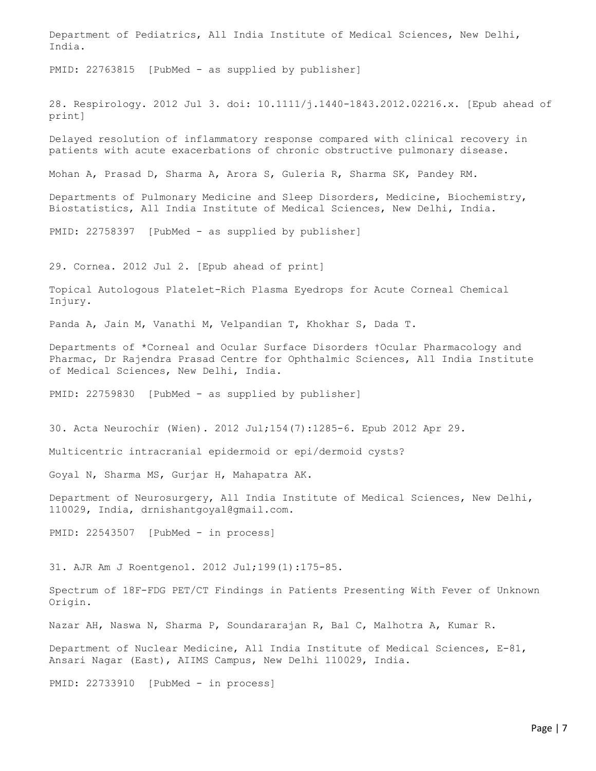Department of Pediatrics, All India Institute of Medical Sciences, New Delhi, India.

PMID: 22763815 [PubMed - as supplied by publisher]

28. Respirology. 2012 Jul 3. doi: 10.1111/j.1440-1843.2012.02216.x. [Epub ahead of print]

Delayed resolution of inflammatory response compared with clinical recovery in patients with acute exacerbations of chronic obstructive pulmonary disease.

Mohan A, Prasad D, Sharma A, Arora S, Guleria R, Sharma SK, Pandey RM.

Departments of Pulmonary Medicine and Sleep Disorders, Medicine, Biochemistry, Biostatistics, All India Institute of Medical Sciences, New Delhi, India.

PMID: 22758397 [PubMed - as supplied by publisher]

29. Cornea. 2012 Jul 2. [Epub ahead of print]

Topical Autologous Platelet-Rich Plasma Eyedrops for Acute Corneal Chemical Injury.

Panda A, Jain M, Vanathi M, Velpandian T, Khokhar S, Dada T.

Departments of \*Corneal and Ocular Surface Disorders †Ocular Pharmacology and Pharmac, Dr Rajendra Prasad Centre for Ophthalmic Sciences, All India Institute of Medical Sciences, New Delhi, India.

PMID: 22759830 [PubMed - as supplied by publisher]

30. Acta Neurochir (Wien). 2012 Jul;154(7):1285-6. Epub 2012 Apr 29.

Multicentric intracranial epidermoid or epi/dermoid cysts?

Goyal N, Sharma MS, Gurjar H, Mahapatra AK.

Department of Neurosurgery, All India Institute of Medical Sciences, New Delhi, 110029, India, drnishantgoyal@gmail.com.

PMID: 22543507 [PubMed - in process]

31. AJR Am J Roentgenol. 2012 Jul;199(1):175-85.

Spectrum of 18F-FDG PET/CT Findings in Patients Presenting With Fever of Unknown Origin.

Nazar AH, Naswa N, Sharma P, Soundararajan R, Bal C, Malhotra A, Kumar R.

Department of Nuclear Medicine, All India Institute of Medical Sciences, E-81, Ansari Nagar (East), AIIMS Campus, New Delhi 110029, India.

PMID: 22733910 [PubMed - in process]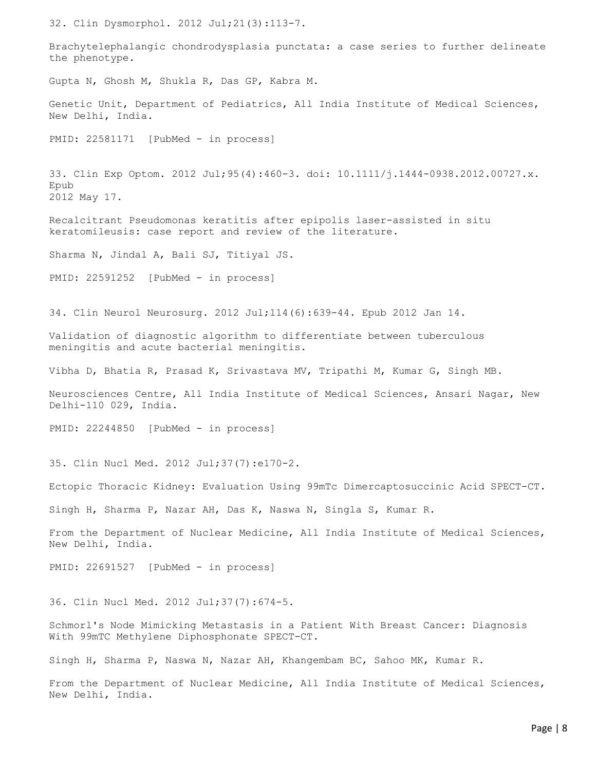32. Clin Dysmorphol. 2012 Jul;21(3):113-7.

Brachytelephalangic chondrodysplasia punctata: a case series to further delineate the phenotype.

Gupta N, Ghosh M, Shukla R, Das GP, Kabra M.

Genetic Unit, Department of Pediatrics, All India Institute of Medical Sciences, New Delhi, India.

PMID: 22581171 [PubMed - in process]

33. Clin Exp Optom. 2012 Jul;95(4):460-3. doi: 10.1111/j.1444-0938.2012.00727.x. Epub 2012 May 17.

Recalcitrant Pseudomonas keratitis after epipolis laser-assisted in situ keratomileusis: case report and review of the literature.

Sharma N, Jindal A, Bali SJ, Titiyal JS.

PMID: 22591252 [PubMed - in process]

34. Clin Neurol Neurosurg. 2012 Jul;114(6):639-44. Epub 2012 Jan 14.

Validation of diagnostic algorithm to differentiate between tuberculous meningitis and acute bacterial meningitis.

Vibha D, Bhatia R, Prasad K, Srivastava MV, Tripathi M, Kumar G, Singh MB.

Neurosciences Centre, All India Institute of Medical Sciences, Ansari Nagar, New Delhi-110 029, India.

PMID: 22244850 [PubMed - in process]

35. Clin Nucl Med. 2012 Jul;37(7):e170-2.

Ectopic Thoracic Kidney: Evaluation Using 99mTc Dimercaptosuccinic Acid SPECT-CT.

Singh H, Sharma P, Nazar AH, Das K, Naswa N, Singla S, Kumar R.

From the Department of Nuclear Medicine, All India Institute of Medical Sciences, New Delhi, India.

PMID: 22691527 [PubMed - in process]

36. Clin Nucl Med. 2012 Jul;37(7):674-5.

Schmorl's Node Mimicking Metastasis in a Patient With Breast Cancer: Diagnosis With 99mTC Methylene Diphosphonate SPECT-CT.

Singh H, Sharma P, Naswa N, Nazar AH, Khangembam BC, Sahoo MK, Kumar R.

From the Department of Nuclear Medicine, All India Institute of Medical Sciences, New Delhi, India.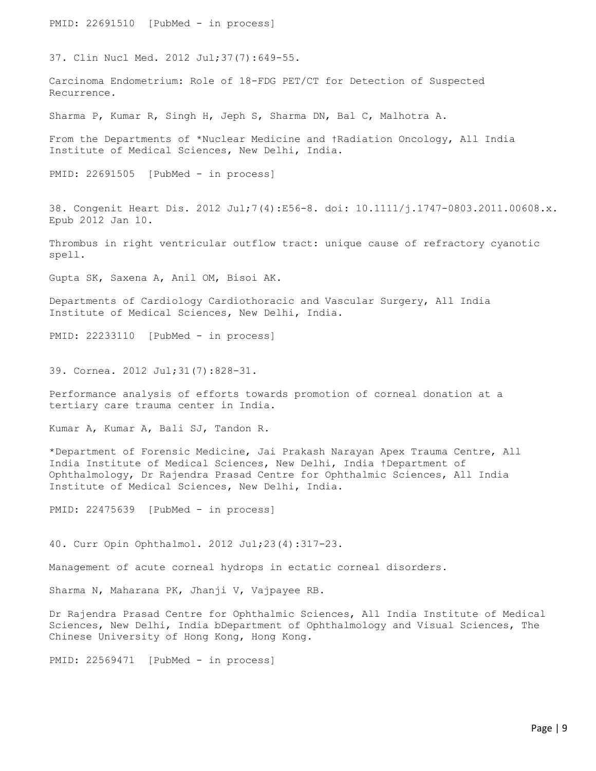PMID: 22691510 [PubMed - in process] 37. Clin Nucl Med. 2012 Jul;37(7):649-55. Carcinoma Endometrium: Role of 18-FDG PET/CT for Detection of Suspected Recurrence. Sharma P, Kumar R, Singh H, Jeph S, Sharma DN, Bal C, Malhotra A. From the Departments of \*Nuclear Medicine and †Radiation Oncology, All India Institute of Medical Sciences, New Delhi, India. PMID: 22691505 [PubMed - in process] 38. Congenit Heart Dis. 2012 Jul;7(4):E56-8. doi: 10.1111/j.1747-0803.2011.00608.x. Epub 2012 Jan 10. Thrombus in right ventricular outflow tract: unique cause of refractory cyanotic spell. Gupta SK, Saxena A, Anil OM, Bisoi AK. Departments of Cardiology Cardiothoracic and Vascular Surgery, All India Institute of Medical Sciences, New Delhi, India. PMID: 22233110 [PubMed - in process] 39. Cornea. 2012 Jul;31(7):828-31. Performance analysis of efforts towards promotion of corneal donation at a tertiary care trauma center in India. Kumar A, Kumar A, Bali SJ, Tandon R. \*Department of Forensic Medicine, Jai Prakash Narayan Apex Trauma Centre, All India Institute of Medical Sciences, New Delhi, India †Department of Ophthalmology, Dr Rajendra Prasad Centre for Ophthalmic Sciences, All India Institute of Medical Sciences, New Delhi, India. PMID: 22475639 [PubMed - in process] 40. Curr Opin Ophthalmol. 2012 Jul;23(4):317-23.

Management of acute corneal hydrops in ectatic corneal disorders.

Sharma N, Maharana PK, Jhanji V, Vajpayee RB.

Dr Rajendra Prasad Centre for Ophthalmic Sciences, All India Institute of Medical Sciences, New Delhi, India bDepartment of Ophthalmology and Visual Sciences, The Chinese University of Hong Kong, Hong Kong.

PMID: 22569471 [PubMed - in process]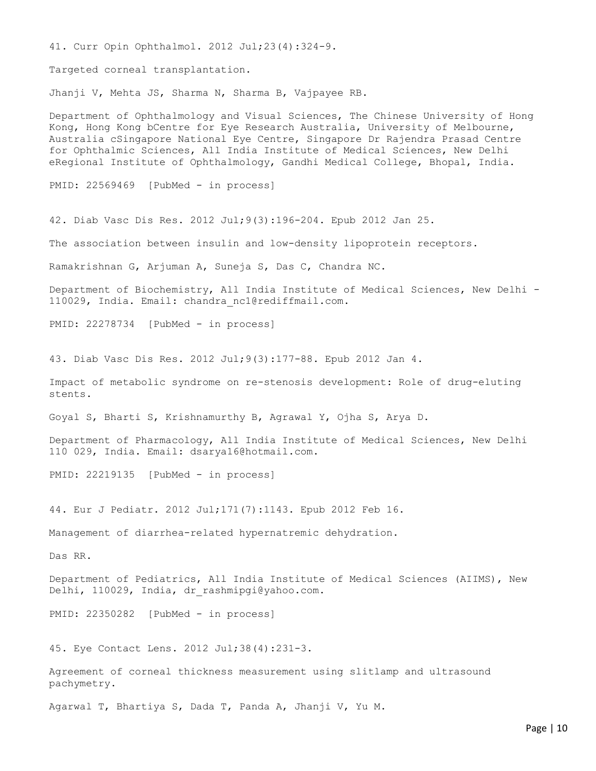41. Curr Opin Ophthalmol. 2012 Jul;23(4):324-9.

Targeted corneal transplantation.

Jhanji V, Mehta JS, Sharma N, Sharma B, Vajpayee RB.

Department of Ophthalmology and Visual Sciences, The Chinese University of Hong Kong, Hong Kong bCentre for Eye Research Australia, University of Melbourne, Australia cSingapore National Eye Centre, Singapore Dr Rajendra Prasad Centre for Ophthalmic Sciences, All India Institute of Medical Sciences, New Delhi eRegional Institute of Ophthalmology, Gandhi Medical College, Bhopal, India.

PMID: 22569469 [PubMed - in process]

42. Diab Vasc Dis Res. 2012 Jul;9(3):196-204. Epub 2012 Jan 25.

The association between insulin and low-density lipoprotein receptors.

Ramakrishnan G, Arjuman A, Suneja S, Das C, Chandra NC.

Department of Biochemistry, All India Institute of Medical Sciences, New Delhi - 110029, India. Email: chandra\_nc1@rediffmail.com.

PMID: 22278734 [PubMed - in process]

43. Diab Vasc Dis Res. 2012 Jul;9(3):177-88. Epub 2012 Jan 4.

Impact of metabolic syndrome on re-stenosis development: Role of drug-eluting stents.

Goyal S, Bharti S, Krishnamurthy B, Agrawal Y, Ojha S, Arya D.

Department of Pharmacology, All India Institute of Medical Sciences, New Delhi 110 029, India. Email: dsarya16@hotmail.com.

PMID: 22219135 [PubMed - in process]

44. Eur J Pediatr. 2012 Jul;171(7):1143. Epub 2012 Feb 16.

Management of diarrhea-related hypernatremic dehydration.

Das RR.

Department of Pediatrics, All India Institute of Medical Sciences (AIIMS), New Delhi, 110029, India, dr\_rashmipgi@yahoo.com.

PMID: 22350282 [PubMed - in process]

45. Eye Contact Lens. 2012 Jul;38(4):231-3.

Agreement of corneal thickness measurement using slitlamp and ultrasound pachymetry.

Agarwal T, Bhartiya S, Dada T, Panda A, Jhanji V, Yu M.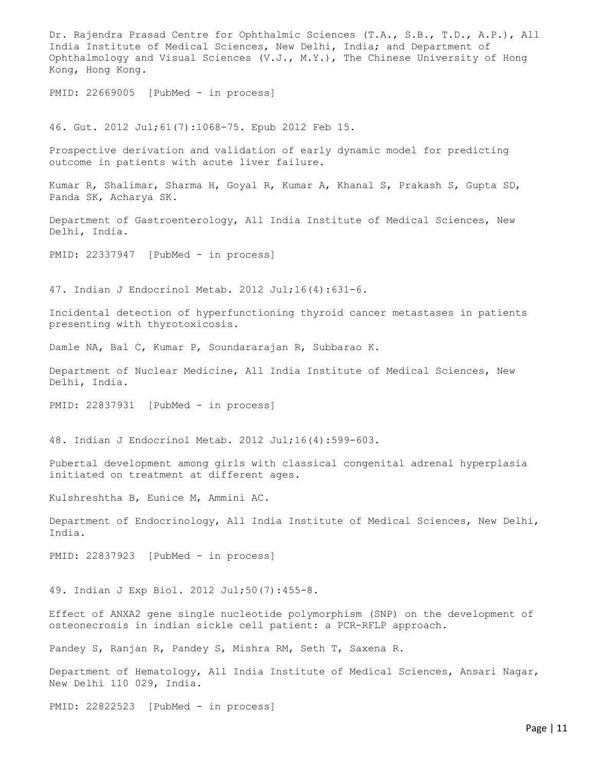Dr. Rajendra Prasad Centre for Ophthalmic Sciences (T.A., S.B., T.D., A.P.), All India Institute of Medical Sciences, New Delhi, India; and Department of Ophthalmology and Visual Sciences (V.J., M.Y.), The Chinese University of Hong Kong, Hong Kong. PMID: 22669005 [PubMed - in process] 46. Gut. 2012 Jul;61(7):1068-75. Epub 2012 Feb 15. Prospective derivation and validation of early dynamic model for predicting outcome in patients with acute liver failure. Kumar R, Shalimar, Sharma H, Goyal R, Kumar A, Khanal S, Prakash S, Gupta SD, Panda SK, Acharya SK. Department of Gastroenterology, All India Institute of Medical Sciences, New Delhi, India. PMID: 22337947 [PubMed - in process] 47. Indian J Endocrinol Metab. 2012 Jul;16(4):631-6. Incidental detection of hyperfunctioning thyroid cancer metastases in patients presenting with thyrotoxicosis. Damle NA, Bal C, Kumar P, Soundararajan R, Subbarao K. Department of Nuclear Medicine, All India Institute of Medical Sciences, New Delhi, India. PMID: 22837931 [PubMed - in process] 48. Indian J Endocrinol Metab. 2012 Jul;16(4):599-603. Pubertal development among girls with classical congenital adrenal hyperplasia initiated on treatment at different ages. Kulshreshtha B, Eunice M, Ammini AC. Department of Endocrinology, All India Institute of Medical Sciences, New Delhi, India. PMID: 22837923 [PubMed - in process] 49. Indian J Exp Biol. 2012 Jul;50(7):455-8. Effect of ANXA2 gene single nucleotide polymorphism (SNP) on the development of osteonecrosis in indian sickle cell patient: a PCR-RFLP approach. Pandey S, Ranjan R, Pandey S, Mishra RM, Seth T, Saxena R. Department of Hematology, All India Institute of Medical Sciences, Ansari Nagar, New Delhi 110 029, India.

PMID: 22822523 [PubMed - in process]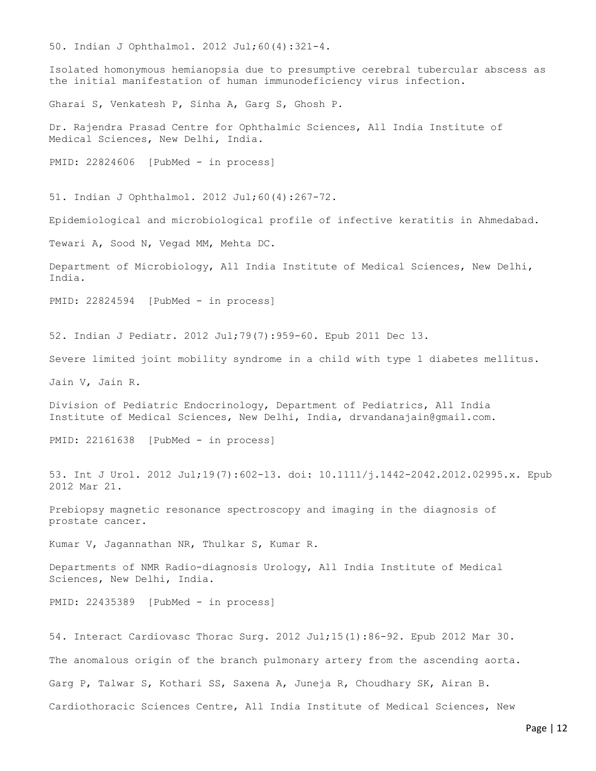50. Indian J Ophthalmol. 2012 Jul;60(4):321-4.

Isolated homonymous hemianopsia due to presumptive cerebral tubercular abscess as the initial manifestation of human immunodeficiency virus infection.

Gharai S, Venkatesh P, Sinha A, Garg S, Ghosh P.

Dr. Rajendra Prasad Centre for Ophthalmic Sciences, All India Institute of Medical Sciences, New Delhi, India.

PMID: 22824606 [PubMed - in process]

51. Indian J Ophthalmol. 2012 Jul;60(4):267-72.

Epidemiological and microbiological profile of infective keratitis in Ahmedabad.

Tewari A, Sood N, Vegad MM, Mehta DC.

Department of Microbiology, All India Institute of Medical Sciences, New Delhi, India.

PMID: 22824594 [PubMed - in process]

52. Indian J Pediatr. 2012 Jul;79(7):959-60. Epub 2011 Dec 13.

Severe limited joint mobility syndrome in a child with type 1 diabetes mellitus.

Jain V, Jain R.

Division of Pediatric Endocrinology, Department of Pediatrics, All India Institute of Medical Sciences, New Delhi, India, drvandanajain@gmail.com.

PMID: 22161638 [PubMed - in process]

53. Int J Urol. 2012 Jul;19(7):602-13. doi: 10.1111/j.1442-2042.2012.02995.x. Epub 2012 Mar 21.

Prebiopsy magnetic resonance spectroscopy and imaging in the diagnosis of prostate cancer.

Kumar V, Jagannathan NR, Thulkar S, Kumar R.

Departments of NMR Radio-diagnosis Urology, All India Institute of Medical Sciences, New Delhi, India.

PMID: 22435389 [PubMed - in process]

54. Interact Cardiovasc Thorac Surg. 2012 Jul;15(1):86-92. Epub 2012 Mar 30. The anomalous origin of the branch pulmonary artery from the ascending aorta. Garg P, Talwar S, Kothari SS, Saxena A, Juneja R, Choudhary SK, Airan B. Cardiothoracic Sciences Centre, All India Institute of Medical Sciences, New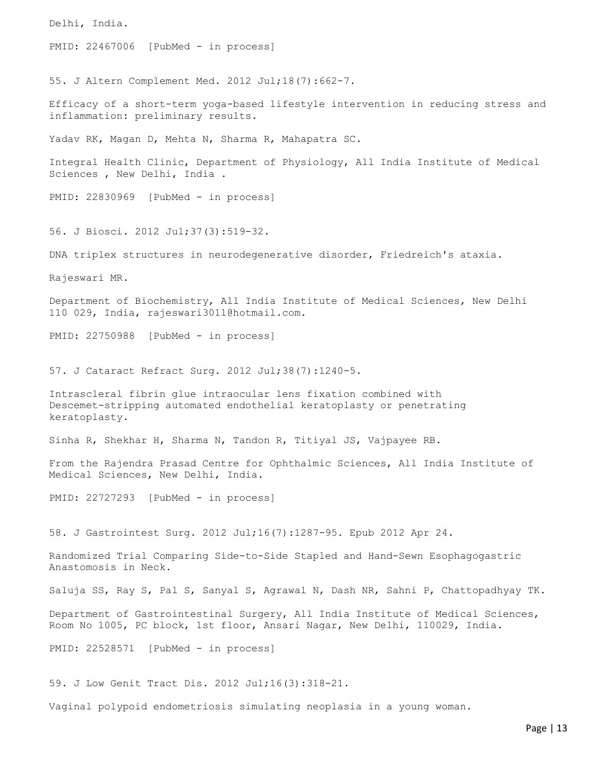Delhi, India. PMID: 22467006 [PubMed - in process] 55. J Altern Complement Med. 2012 Jul;18(7):662-7. Efficacy of a short-term yoga-based lifestyle intervention in reducing stress and inflammation: preliminary results. Yadav RK, Magan D, Mehta N, Sharma R, Mahapatra SC. Integral Health Clinic, Department of Physiology, All India Institute of Medical Sciences , New Delhi, India . PMID: 22830969 [PubMed - in process] 56. J Biosci. 2012 Jul;37(3):519-32. DNA triplex structures in neurodegenerative disorder, Friedreich's ataxia. Rajeswari MR. Department of Biochemistry, All India Institute of Medical Sciences, New Delhi 110 029, India, rajeswari3011@hotmail.com. PMID: 22750988 [PubMed - in process] 57. J Cataract Refract Surg. 2012 Jul;38(7):1240-5. Intrascleral fibrin glue intraocular lens fixation combined with Descemet-stripping automated endothelial keratoplasty or penetrating keratoplasty. Sinha R, Shekhar H, Sharma N, Tandon R, Titiyal JS, Vajpayee RB. From the Rajendra Prasad Centre for Ophthalmic Sciences, All India Institute of Medical Sciences, New Delhi, India. PMID: 22727293 [PubMed - in process] 58. J Gastrointest Surg. 2012 Jul;16(7):1287-95. Epub 2012 Apr 24. Randomized Trial Comparing Side-to-Side Stapled and Hand-Sewn Esophagogastric Anastomosis in Neck. Saluja SS, Ray S, Pal S, Sanyal S, Agrawal N, Dash NR, Sahni P, Chattopadhyay TK. Department of Gastrointestinal Surgery, All India Institute of Medical Sciences, Room No 1005, PC block, 1st floor, Ansari Nagar, New Delhi, 110029, India. PMID: 22528571 [PubMed - in process] 59. J Low Genit Tract Dis. 2012 Jul;16(3):318-21.

Vaginal polypoid endometriosis simulating neoplasia in a young woman.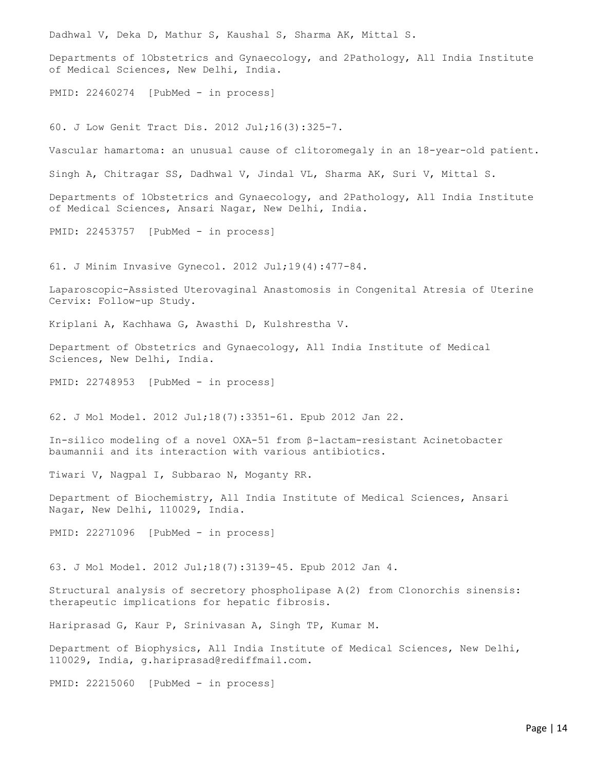Dadhwal V, Deka D, Mathur S, Kaushal S, Sharma AK, Mittal S.

Departments of 1Obstetrics and Gynaecology, and 2Pathology, All India Institute of Medical Sciences, New Delhi, India.

PMID: 22460274 [PubMed - in process]

60. J Low Genit Tract Dis. 2012 Jul;16(3):325-7.

Vascular hamartoma: an unusual cause of clitoromegaly in an 18-year-old patient.

Singh A, Chitragar SS, Dadhwal V, Jindal VL, Sharma AK, Suri V, Mittal S.

Departments of 1Obstetrics and Gynaecology, and 2Pathology, All India Institute of Medical Sciences, Ansari Nagar, New Delhi, India.

PMID: 22453757 [PubMed - in process]

61. J Minim Invasive Gynecol. 2012 Jul;19(4):477-84.

Laparoscopic-Assisted Uterovaginal Anastomosis in Congenital Atresia of Uterine Cervix: Follow-up Study.

Kriplani A, Kachhawa G, Awasthi D, Kulshrestha V.

Department of Obstetrics and Gynaecology, All India Institute of Medical Sciences, New Delhi, India.

PMID: 22748953 [PubMed - in process]

62. J Mol Model. 2012 Jul;18(7):3351-61. Epub 2012 Jan 22.

In-silico modeling of a novel OXA-51 from β-lactam-resistant Acinetobacter baumannii and its interaction with various antibiotics.

Tiwari V, Nagpal I, Subbarao N, Moganty RR.

Department of Biochemistry, All India Institute of Medical Sciences, Ansari Nagar, New Delhi, 110029, India.

PMID: 22271096 [PubMed - in process]

63. J Mol Model. 2012 Jul;18(7):3139-45. Epub 2012 Jan 4.

Structural analysis of secretory phospholipase A(2) from Clonorchis sinensis: therapeutic implications for hepatic fibrosis.

Hariprasad G, Kaur P, Srinivasan A, Singh TP, Kumar M.

Department of Biophysics, All India Institute of Medical Sciences, New Delhi, 110029, India, g.hariprasad@rediffmail.com.

PMID: 22215060 [PubMed - in process]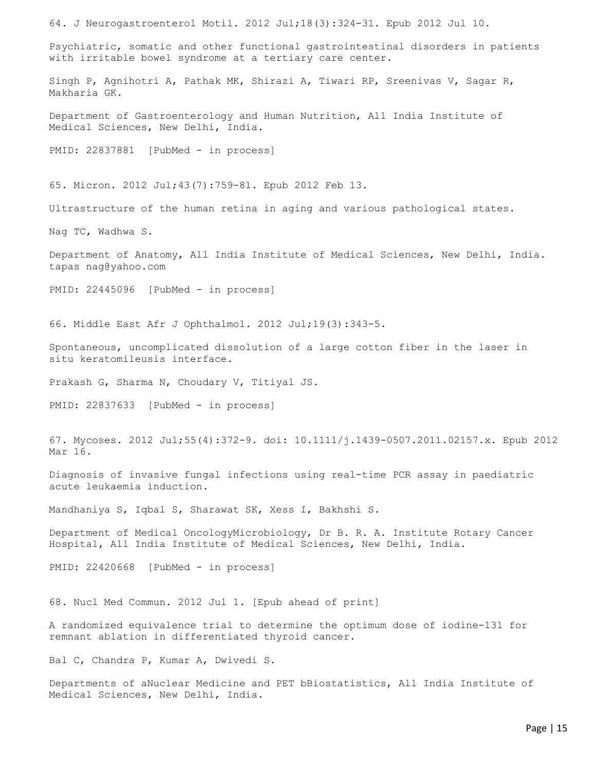64. J Neurogastroenterol Motil. 2012 Jul;18(3):324-31. Epub 2012 Jul 10. Psychiatric, somatic and other functional gastrointestinal disorders in patients with irritable bowel syndrome at a tertiary care center. Singh P, Agnihotri A, Pathak MK, Shirazi A, Tiwari RP, Sreenivas V, Sagar R, Makharia GK. Department of Gastroenterology and Human Nutrition, All India Institute of Medical Sciences, New Delhi, India. PMID: 22837881 [PubMed - in process] 65. Micron. 2012 Jul;43(7):759-81. Epub 2012 Feb 13. Ultrastructure of the human retina in aging and various pathological states. Nag TC, Wadhwa S. Department of Anatomy, All India Institute of Medical Sciences, New Delhi, India. tapas nag@yahoo.com PMID: 22445096 [PubMed - in process] 66. Middle East Afr J Ophthalmol. 2012 Jul;19(3):343-5. Spontaneous, uncomplicated dissolution of a large cotton fiber in the laser in situ keratomileusis interface. Prakash G, Sharma N, Choudary V, Titiyal JS. PMID: 22837633 [PubMed - in process] 67. Mycoses. 2012 Jul;55(4):372-9. doi: 10.1111/j.1439-0507.2011.02157.x. Epub 2012 Mar 16. Diagnosis of invasive fungal infections using real-time PCR assay in paediatric acute leukaemia induction. Mandhaniya S, Iqbal S, Sharawat SK, Xess I, Bakhshi S. Department of Medical OncologyMicrobiology, Dr B. R. A. Institute Rotary Cancer Hospital, All India Institute of Medical Sciences, New Delhi, India. PMID: 22420668 [PubMed - in process] 68. Nucl Med Commun. 2012 Jul 1. [Epub ahead of print] A randomized equivalence trial to determine the optimum dose of iodine-131 for remnant ablation in differentiated thyroid cancer. Bal C, Chandra P, Kumar A, Dwivedi S.

Departments of aNuclear Medicine and PET bBiostatistics, All India Institute of Medical Sciences, New Delhi, India.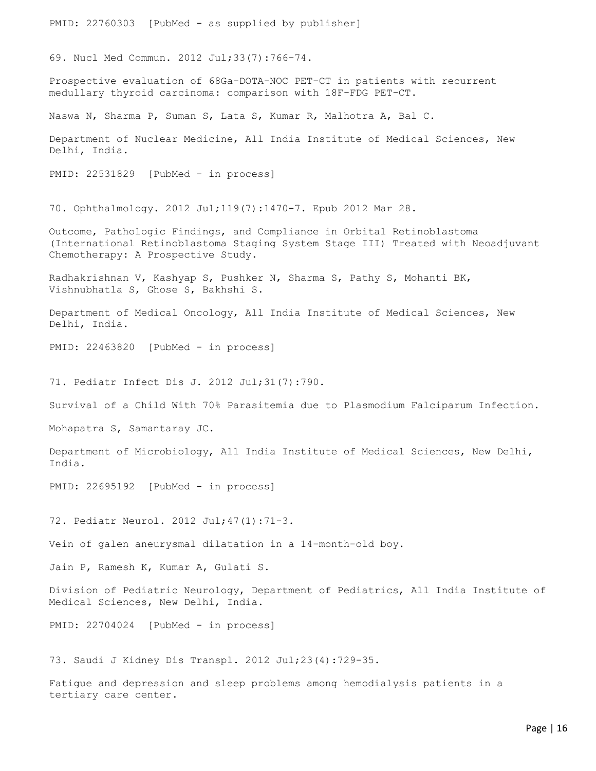PMID: 22760303 [PubMed - as supplied by publisher] 69. Nucl Med Commun. 2012 Jul;33(7):766-74. Prospective evaluation of 68Ga-DOTA-NOC PET-CT in patients with recurrent medullary thyroid carcinoma: comparison with 18F-FDG PET-CT. Naswa N, Sharma P, Suman S, Lata S, Kumar R, Malhotra A, Bal C. Department of Nuclear Medicine, All India Institute of Medical Sciences, New Delhi, India. PMID: 22531829 [PubMed - in process] 70. Ophthalmology. 2012 Jul;119(7):1470-7. Epub 2012 Mar 28. Outcome, Pathologic Findings, and Compliance in Orbital Retinoblastoma (International Retinoblastoma Staging System Stage III) Treated with Neoadjuvant Chemotherapy: A Prospective Study. Radhakrishnan V, Kashyap S, Pushker N, Sharma S, Pathy S, Mohanti BK, Vishnubhatla S, Ghose S, Bakhshi S. Department of Medical Oncology, All India Institute of Medical Sciences, New Delhi, India. PMID: 22463820 [PubMed - in process] 71. Pediatr Infect Dis J. 2012 Jul;31(7):790. Survival of a Child With 70% Parasitemia due to Plasmodium Falciparum Infection. Mohapatra S, Samantaray JC. Department of Microbiology, All India Institute of Medical Sciences, New Delhi, India. PMID: 22695192 [PubMed - in process] 72. Pediatr Neurol. 2012 Jul;47(1):71-3. Vein of galen aneurysmal dilatation in a 14-month-old boy. Jain P, Ramesh K, Kumar A, Gulati S. Division of Pediatric Neurology, Department of Pediatrics, All India Institute of Medical Sciences, New Delhi, India. PMID: 22704024 [PubMed - in process] 73. Saudi J Kidney Dis Transpl. 2012 Jul;23(4):729-35. Fatigue and depression and sleep problems among hemodialysis patients in a

tertiary care center.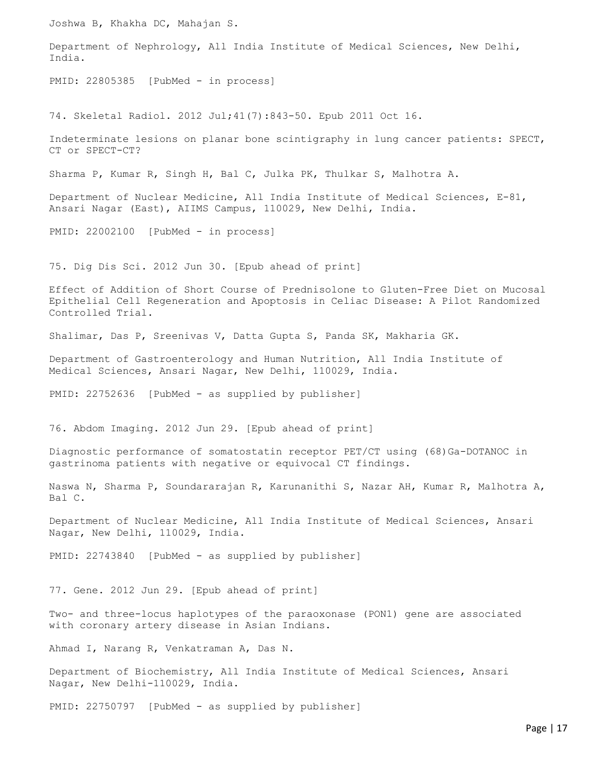Joshwa B, Khakha DC, Mahajan S. Department of Nephrology, All India Institute of Medical Sciences, New Delhi, India. PMID: 22805385 [PubMed - in process] 74. Skeletal Radiol. 2012 Jul;41(7):843-50. Epub 2011 Oct 16. Indeterminate lesions on planar bone scintigraphy in lung cancer patients: SPECT, CT or SPECT-CT? Sharma P, Kumar R, Singh H, Bal C, Julka PK, Thulkar S, Malhotra A. Department of Nuclear Medicine, All India Institute of Medical Sciences, E-81, Ansari Nagar (East), AIIMS Campus, 110029, New Delhi, India. PMID: 22002100 [PubMed - in process] 75. Dig Dis Sci. 2012 Jun 30. [Epub ahead of print] Effect of Addition of Short Course of Prednisolone to Gluten-Free Diet on Mucosal Epithelial Cell Regeneration and Apoptosis in Celiac Disease: A Pilot Randomized Controlled Trial. Shalimar, Das P, Sreenivas V, Datta Gupta S, Panda SK, Makharia GK. Department of Gastroenterology and Human Nutrition, All India Institute of Medical Sciences, Ansari Nagar, New Delhi, 110029, India. PMID: 22752636 [PubMed - as supplied by publisher] 76. Abdom Imaging. 2012 Jun 29. [Epub ahead of print] Diagnostic performance of somatostatin receptor PET/CT using (68)Ga-DOTANOC in gastrinoma patients with negative or equivocal CT findings. Naswa N, Sharma P, Soundararajan R, Karunanithi S, Nazar AH, Kumar R, Malhotra A, Bal C. Department of Nuclear Medicine, All India Institute of Medical Sciences, Ansari Nagar, New Delhi, 110029, India. PMID: 22743840 [PubMed - as supplied by publisher] 77. Gene. 2012 Jun 29. [Epub ahead of print] Two- and three-locus haplotypes of the paraoxonase (PON1) gene are associated with coronary artery disease in Asian Indians. Ahmad I, Narang R, Venkatraman A, Das N.

Department of Biochemistry, All India Institute of Medical Sciences, Ansari Nagar, New Delhi-110029, India.

PMID: 22750797 [PubMed - as supplied by publisher]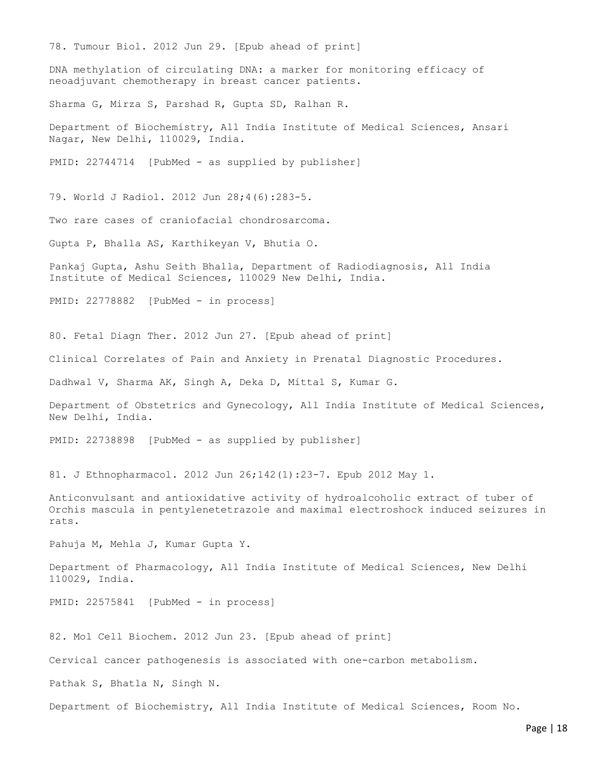78. Tumour Biol. 2012 Jun 29. [Epub ahead of print] DNA methylation of circulating DNA: a marker for monitoring efficacy of neoadjuvant chemotherapy in breast cancer patients. Sharma G, Mirza S, Parshad R, Gupta SD, Ralhan R. Department of Biochemistry, All India Institute of Medical Sciences, Ansari Nagar, New Delhi, 110029, India. PMID: 22744714 [PubMed - as supplied by publisher] 79. World J Radiol. 2012 Jun 28;4(6):283-5. Two rare cases of craniofacial chondrosarcoma. Gupta P, Bhalla AS, Karthikeyan V, Bhutia O. Pankaj Gupta, Ashu Seith Bhalla, Department of Radiodiagnosis, All India Institute of Medical Sciences, 110029 New Delhi, India. PMID: 22778882 [PubMed - in process] 80. Fetal Diagn Ther. 2012 Jun 27. [Epub ahead of print] Clinical Correlates of Pain and Anxiety in Prenatal Diagnostic Procedures. Dadhwal V, Sharma AK, Singh A, Deka D, Mittal S, Kumar G. Department of Obstetrics and Gynecology, All India Institute of Medical Sciences, New Delhi, India. PMID: 22738898 [PubMed - as supplied by publisher] 81. J Ethnopharmacol. 2012 Jun 26;142(1):23-7. Epub 2012 May 1. Anticonvulsant and antioxidative activity of hydroalcoholic extract of tuber of Orchis mascula in pentylenetetrazole and maximal electroshock induced seizures in rats. Pahuja M, Mehla J, Kumar Gupta Y. Department of Pharmacology, All India Institute of Medical Sciences, New Delhi 110029, India. PMID: 22575841 [PubMed - in process] 82. Mol Cell Biochem. 2012 Jun 23. [Epub ahead of print] Cervical cancer pathogenesis is associated with one-carbon metabolism. Pathak S, Bhatla N, Singh N. Department of Biochemistry, All India Institute of Medical Sciences, Room No.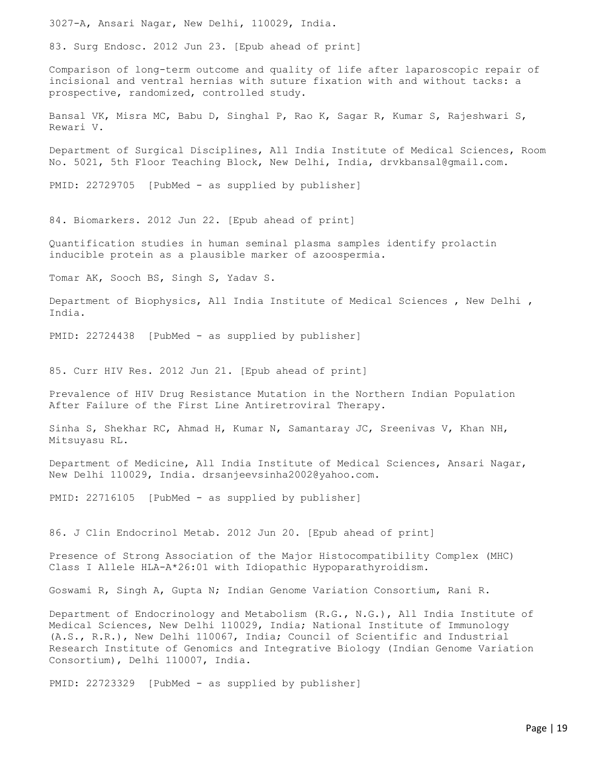3027-A, Ansari Nagar, New Delhi, 110029, India.

83. Surg Endosc. 2012 Jun 23. [Epub ahead of print]

Comparison of long-term outcome and quality of life after laparoscopic repair of incisional and ventral hernias with suture fixation with and without tacks: a prospective, randomized, controlled study.

Bansal VK, Misra MC, Babu D, Singhal P, Rao K, Sagar R, Kumar S, Rajeshwari S, Rewari V.

Department of Surgical Disciplines, All India Institute of Medical Sciences, Room No. 5021, 5th Floor Teaching Block, New Delhi, India, drvkbansal@gmail.com.

PMID: 22729705 [PubMed - as supplied by publisher]

84. Biomarkers. 2012 Jun 22. [Epub ahead of print]

Quantification studies in human seminal plasma samples identify prolactin inducible protein as a plausible marker of azoospermia.

Tomar AK, Sooch BS, Singh S, Yadav S.

Department of Biophysics, All India Institute of Medical Sciences , New Delhi , India.

PMID: 22724438 [PubMed - as supplied by publisher]

85. Curr HIV Res. 2012 Jun 21. [Epub ahead of print]

Prevalence of HIV Drug Resistance Mutation in the Northern Indian Population After Failure of the First Line Antiretroviral Therapy.

Sinha S, Shekhar RC, Ahmad H, Kumar N, Samantaray JC, Sreenivas V, Khan NH, Mitsuyasu RL.

Department of Medicine, All India Institute of Medical Sciences, Ansari Nagar, New Delhi 110029, India. drsanjeevsinha2002@yahoo.com.

PMID: 22716105 [PubMed - as supplied by publisher]

86. J Clin Endocrinol Metab. 2012 Jun 20. [Epub ahead of print]

Presence of Strong Association of the Major Histocompatibility Complex (MHC) Class I Allele HLA-A\*26:01 with Idiopathic Hypoparathyroidism.

Goswami R, Singh A, Gupta N; Indian Genome Variation Consortium, Rani R.

Department of Endocrinology and Metabolism (R.G., N.G.), All India Institute of Medical Sciences, New Delhi 110029, India; National Institute of Immunology (A.S., R.R.), New Delhi 110067, India; Council of Scientific and Industrial Research Institute of Genomics and Integrative Biology (Indian Genome Variation Consortium), Delhi 110007, India.

PMID: 22723329 [PubMed - as supplied by publisher]